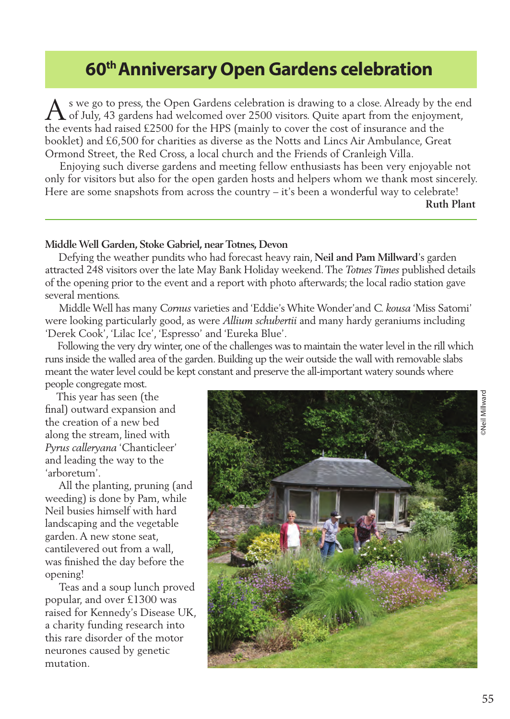# **60th Anniversary Open Gardens celebration**

s we go to press, the Open Gardens celebration is drawing to a close. Already by the end A s we go to press, the Open Gardens celebration is drawing to a close. Already by the en<br>
of July, 43 gardens had welcomed over 2500 visitors. Quite apart from the enjoyment, the events had raised £2500 for the HPS (mainly to cover the cost of insurance and the booklet) and £6,500 for charities as diverse as the Notts and Lincs Air Ambulance, Great Ormond Street, the Red Cross, a local church and the Friends of Cranleigh Villa.

 Enjoying such diverse gardens and meeting fellow enthusiasts has been very enjoyable not only for visitors but also for the open garden hosts and helpers whom we thank most sincerely. Here are some snapshots from across the country – it's been a wonderful way to celebrate!

**Ruth Plant**

# **Middle Well Garden, Stoke Gabriel, near Totnes, Devon**

 Defying the weather pundits who had forecast heavy rain, **Neil and Pam Millward**'s garden attracted 248 visitors over the late May Bank Holiday weekend. The *Totnes Times* published details of the opening prior to the event and a report with photo afterwards; the local radio station gave several mentions.

 Middle Well has many *Cornus* varieties and 'Eddie's White Wonder'and *C. kousa* 'Miss Satomi' were looking particularly good, as were *Allium schubertii* and many hardy geraniums including 'Derek Cook', 'Lilac Ice', 'Espresso' and 'Eureka Blue'.

 Following the very dry winter, one of the challenges was to maintain the water level in the rill which runs inside the walled area of the garden. Building up the weir outside the wall with removable slabs meant the water level could be kept constant and preserve the all-important watery sounds where people congregate most.

 This year has seen (the final) outward expansion and the creation of a new bed along the stream, lined with *Pyrus calleryana* 'Chanticleer' and leading the way to the 'arboretum'.

 All the planting, pruning (and weeding) is done by Pam, while Neil busies himself with hard landscaping and the vegetable garden. A new stone seat, cantilevered out from a wall, was finished the day before the opening!

 Teas and a soup lunch proved popular, and over £1300 was raised for Kennedy's Disease UK, a charity funding research into this rare disorder of the motor neurones caused by genetic mutation.

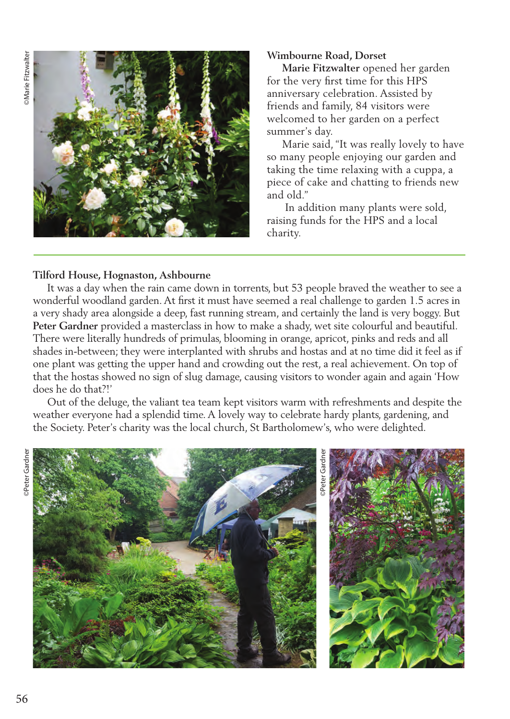

### **Wimbourne Road, Dorset**

 **Marie Fitzwalter** opened her garden for the very first time for this HPS anniversary celebration. Assisted by friends and family, 84 visitors were welcomed to her garden on a perfect summer's day.

 Marie said, "It was really lovely to have so many people enjoying our garden and taking the time relaxing with a cuppa, a piece of cake and chatting to friends new and old."

 In addition many plants were sold, raising funds for the HPS and a local charity.

# **Tilford House, Hognaston, Ashbourne**

 It was a day when the rain came down in torrents, but 53 people braved the weather to see a wonderful woodland garden. At first it must have seemed a real challenge to garden 1.5 acres in a very shady area alongside a deep, fast running stream, and certainly the land is very boggy. But **Peter Gardner** provided a masterclass in how to make a shady, wet site colourful and beautiful. There were literally hundreds of primulas, blooming in orange, apricot, pinks and reds and all shades in-between; they were interplanted with shrubs and hostas and at no time did it feel as if one plant was getting the upper hand and crowding out the rest, a real achievement. On top of that the hostas showed no sign of slug damage, causing visitors to wonder again and again 'How does he do that?!'

 Out of the deluge, the valiant tea team kept visitors warm with refreshments and despite the weather everyone had a splendid time. A lovely way to celebrate hardy plants, gardening, and the Society. Peter's charity was the local church, St Bartholomew's, who were delighted.

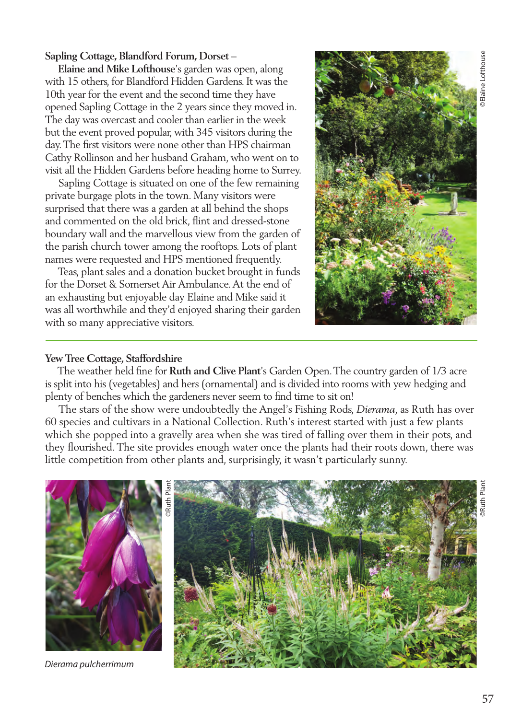# **Sapling Cottage, Blandford Forum, Dorset** –

 **Elaine and Mike Lofthouse**'s garden was open, along with 15 others, for Blandford Hidden Gardens. It was the 10th year for the event and the second time they have opened Sapling Cottage in the 2 years since they moved in. The day was overcast and cooler than earlier in the week but the event proved popular, with 345 visitors during the day. The first visitors were none other than HPS chairman Cathy Rollinson and her husband Graham, who went on to visit all the Hidden Gardens before heading home to Surrey.

 Sapling Cottage is situated on one of the few remaining private burgage plots in the town. Many visitors were surprised that there was a garden at all behind the shops and commented on the old brick, flint and dressed-stone boundary wall and the marvellous view from the garden of the parish church tower among the rooftops. Lots of plant names were requested and HPS mentioned frequently.

 Teas, plant sales and a donation bucket brought in funds for the Dorset & Somerset Air Ambulance. At the end of an exhausting but enjoyable day Elaine and Mike said it was all worthwhile and they'd enjoyed sharing their garden with so many appreciative visitors.



### **Yew Tree Cottage, Staffordshire**

 The weather held fine for **Ruth and Clive Plant**'s Garden Open. The country garden of 1/3 acre is split into his (vegetables) and hers (ornamental) and is divided into rooms with yew hedging and plenty of benches which the gardeners never seem to find time to sit on!

 The stars of the show were undoubtedly the Angel's Fishing Rods, *Dierama*, as Ruth has over 60 species and cultivars in a National Collection. Ruth's interest started with just a few plants which she popped into a gravelly area when she was tired of falling over them in their pots, and they flourished. The site provides enough water once the plants had their roots down, there was little competition from other plants and, surprisingly, it wasn't particularly sunny.



*Dierama pulcherrimum*

©Ruth Plant